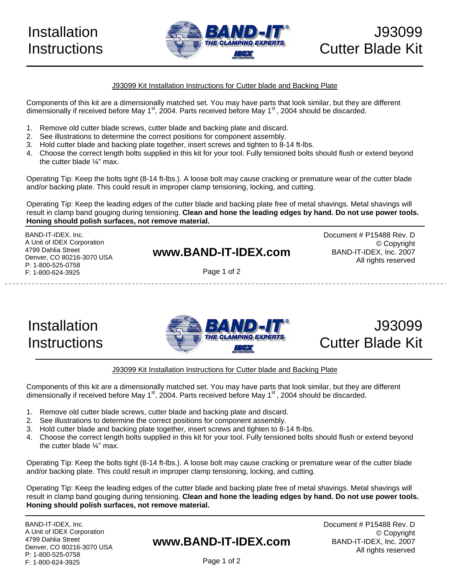

#### J93099 Kit Installation Instructions for Cutter blade and Backing Plate

Components of this kit are a dimensionally matched set. You may have parts that look similar, but they are different dimensionally if received before May  $1<sup>st</sup>$ , 2004. Parts received before May  $1<sup>st</sup>$ , 2004 should be discarded.

- 1. Remove old cutter blade screws, cutter blade and backing plate and discard.
- 2. See illustrations to determine the correct positions for component assembly.
- 3. Hold cutter blade and backing plate together, insert screws and tighten to 8-14 ft-lbs.
- 4. Choose the correct length bolts supplied in this kit for your tool. Fully tensioned bolts should flush or extend beyond the cutter blade ¼" max.

Operating Tip: Keep the bolts tight (8-14 ft-lbs.). A loose bolt may cause cracking or premature wear of the cutter blade and/or backing plate. This could result in improper clamp tensioning, locking, and cutting.

Operating Tip: Keep the leading edges of the cutter blade and backing plate free of metal shavings. Metal shavings will result in clamp band gouging during tensioning. **Clean and hone the leading edges by hand. Do not use power tools. Honing should polish surfaces, not remove material.**

BAND-IT-IDEX, Inc. A Unit of IDEX Corporation 4799 Dahlia Street Denver, CO 80216-3070 USA P: 1-800-525-0758 F: 1-800-624-3925

### **www.BAND-IT-IDEX.com**

Page 1 of 2

Document # P15488 Rev. D © Copyright BAND-IT-IDEX, Inc. 2007 All rights reserved

## Installation **Instructions**





#### J93099 Kit Installation Instructions for Cutter blade and Backing Plate

Components of this kit are a dimensionally matched set. You may have parts that look similar, but they are different dimensionally if received before May  $1<sup>st</sup>$ , 2004. Parts received before May  $1<sup>st</sup>$ , 2004 should be discarded.

- 1. Remove old cutter blade screws, cutter blade and backing plate and discard.
- 2. See illustrations to determine the correct positions for component assembly.
- 3. Hold cutter blade and backing plate together, insert screws and tighten to 8-14 ft-lbs.
- 4. Choose the correct length bolts supplied in this kit for your tool. Fully tensioned bolts should flush or extend beyond the cutter blade ¼" max.

Operating Tip: Keep the bolts tight (8-14 ft-lbs.). A loose bolt may cause cracking or premature wear of the cutter blade and/or backing plate. This could result in improper clamp tensioning, locking, and cutting.

Operating Tip: Keep the leading edges of the cutter blade and backing plate free of metal shavings. Metal shavings will result in clamp band gouging during tensioning. **Clean and hone the leading edges by hand. Do not use power tools. Honing should polish surfaces, not remove material.** 

BAND-IT-IDEX, Inc. A Unit of IDEX Corporation 4799 Dahlia Street Denver, CO 80216-3070 USA P: 1-800-525-0758 F: 1-800-624-3925

### **www.BAND-IT-IDEX.com**

Document # P15488 Rev. D © Copyright BAND-IT-IDEX, Inc. 2007 All rights reserved

Page 1 of 2